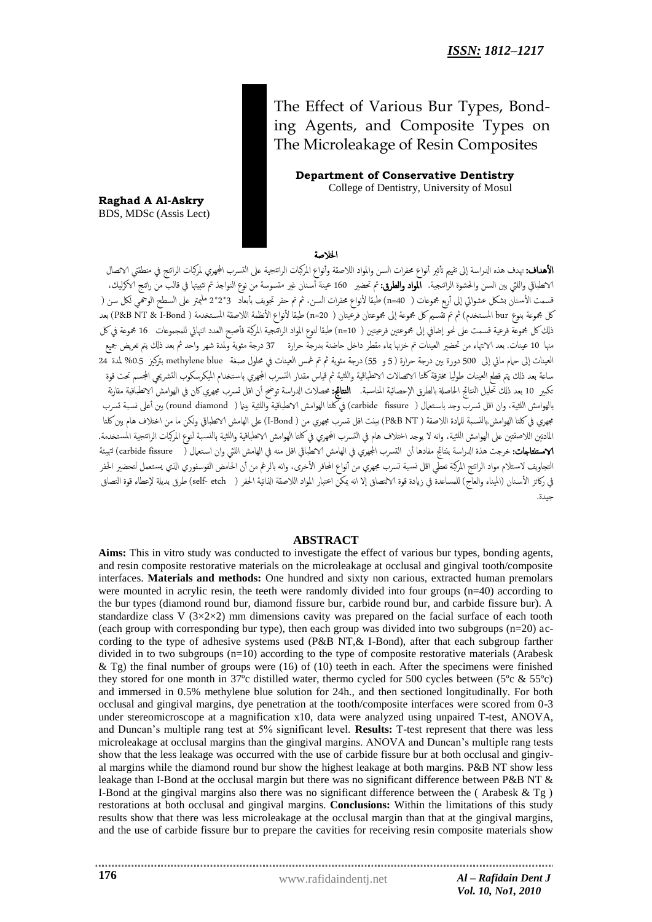The Effect of Various Bur Types, Bonding Agents, and Composite Types on The Microleakage of Resin Composites

 **Department of Conservative Dentistry** College of Dentistry, University of Mosul

**Raghad A Al-Askry** BDS, MDSc (Assis Lect)

## اخلالصة

**الأهداف:** تهدف هذه الدراسة إلى تقييم تأثير أنواع محفرات السن والمواد اللاصقة وأنواع المركبات الراتنجي المرموس لمركبات الراتنج في منطقتى الاتصال الانطباقي واللثي بين السن والحشوة الراتنجية. **المواد والطرق:** تم تحضير 160 عينة أسنان غير متسوسة من نوع النواجذ تم تثبيتها في قالب من راتنج الاكرليك، قسمت الأسنان بشكل عشوائي إلى أربع مجموعات ( n=40) طبقا لأنواع محفرات السن، ثم تم حفر تجويف بأبعاد 3\*2\*2 مليمتر على السطح الوجمي لكل سن ( كل مجموعة بنوع bur المستخدم) ثم تم تقسيم كل مجموعة إلى مجموعتان فرعيتان ( n=20) طبقا لأنواع الأنظمة اللاصقة المستخدمة ( P&B NT & I-Bond) بعد ذلك كل مجموعة فرعية قسمت على نحو إضافي إلى مجموعتين فرعيتين ( n=10) طبقا لنوع المواد الراتنجية المركبة فأصبح العدد النهائي للمجموعات 16 مجموعة في كل منها 10 عينات. بعد الانتهاء من تحضير العينات تم خزنها بماء مقطر داخل حاضنة بدرجة حرارة 37 درجة مئوية ولمدة شهر واحد ثم بعد ذلك يتم تعريض جميع العينات إلى حام مائي إلى 500 دورة بين درجة حرارة (5 و 55) درجة مئوية ثم تم غمس العينات في محلول صبغة methylene blue بتركيز 0.5% لمدة 24 ساعة بعد ذلك يتم قطع العينات طوليا مخترقة كلتا الاتصالات الاتطباقية واللثية ثم قياس مقدار التسرب الجهري باستخدام الميكرسكوب التشريحي المجسم تحت قوة تكبير 10 بعد ذلك تحليل النتائج الحاصلة بالطرق الإحصائية المناسبة. **النتائج: م**حصلات الدراسة توضح أن اقل تسرب مجهري كان في الهوامش الانطباقية مقارنة بالهوامش اللثية، وان اقل تسرب وجد باستعمال ( carbide fissure) في كلتا الهوامش الانطباقية واللثية بينما ( round diamond ) بين أعلى نسبة تسرب جهري في كلتا الهوامش بالنسبة للمادة اللاصقة ( P&B NT) بينت اقل تسرب مجهري من ( I-Bond) على الهامش الانطباقي ولكن ما من اختلاف هام بين كلتا المادتين اللاصقتين على الهوامش اللثية، وانه لا يوجد اختلاف هام في التسرب الجهري في كلتا الهوامش الانطباقية واللثية بالنسبة لنوع المركبات الراتنجية المستخدمة. **الاستنتاجات:**خرجت هذة الدراسة بنتائج مفادها أن التسرب الجهري في الهامش الانطباقي اقل منه في الهامش اللثي وان استعمال ( carbide fissure ) لتهيئة التجاويف لاستلام مواد الراتنج المركبة تعطي اقل نسبة تسرب مجهري من أنواع المحافر الأخرى، وانه بالرغم من أن الحامض الفوسفوري الذي يستعمل لتحضير الحفر في ركائز الأسنان (الميناء والعاج) للمساعدة في زيادة قوة الالتصاق إلا انه يمكن اعتبار المواد اللاصقة الذاتية الحفر ( self- etch) طرق بديلة لإعطاء قوة التصاق جيدة.

## **ABSTRACT**

**Aims:** This in vitro study was conducted to investigate the effect of various bur types, bonding agents, and resin composite restorative materials on the microleakage at occlusal and gingival tooth/composite interfaces. **Materials and methods:** One hundred and sixty non carious, extracted human premolars were mounted in acrylic resin, the teeth were randomly divided into four groups (n=40) according to the bur types (diamond round bur, diamond fissure bur, carbide round bur, and carbide fissure bur). A standardize class V  $(3\times2\times2)$  mm dimensions cavity was prepared on the facial surface of each tooth (each group with corresponding bur type), then each group was divided into two subgroups (n=20) according to the type of adhesive systems used (P&B NT,& I-Bond), after that each subgroup farther divided in to two subgroups  $(n=10)$  according to the type of composite restorative materials (Arabesk  $\&$  Tg) the final number of groups were (16) of (10) teeth in each. After the specimens were finished they stored for one month in 37ºc distilled water, thermo cycled for 500 cycles between (5ºc & 55ºc) and immersed in 0.5% methylene blue solution for 24h., and then sectioned longitudinally. For both occlusal and gingival margins, dye penetration at the tooth/composite interfaces were scored from 0-3 under stereomicroscope at a magnification x10, data were analyzed using unpaired T-test, ANOVA, and Duncan's multiple rang test at 5% significant level. **Results:** T-test represent that there was less microleakage at occlusal margins than the gingival margins. ANOVA and Duncan's multiple rang tests show that the less leakage was occurred with the use of carbide fissure bur at both occlusal and gingival margins while the diamond round bur show the highest leakage at both margins. P&B NT show less leakage than I-Bond at the occlusal margin but there was no significant difference between P&B NT & I-Bond at the gingival margins also there was no significant difference between the (Arabesk  $\&$  Tg) restorations at both occlusal and gingival margins. **Conclusions:** Within the limitations of this study results show that there was less microleakage at the occlusal margin than that at the gingival margins, and the use of carbide fissure bur to prepare the cavities for receiving resin composite materials show

www.rafidaindentj.net *Al – Rafidain Dent J Vol. 10, No1, 2010*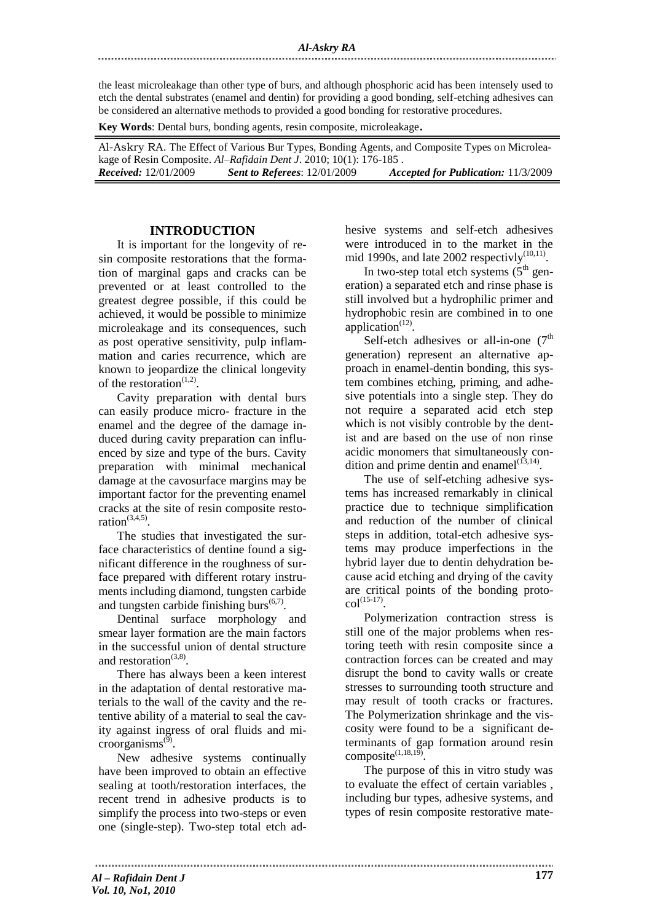the least microleakage than other type of burs, and although phosphoric acid has been intensely used to etch the dental substrates (enamel and dentin) for providing a good bonding, self-etching adhesives can be considered an alternative methods to provided a good bonding for restorative procedures.

**Key Words**: Dental burs, bonding agents, resin composite, microleakage.

Al-Askry RA. The Effect of Various Bur Types, Bonding Agents, and Composite Types on Microleakage of Resin Composite. *Al–Rafidain Dent J*. 2010; 10(1): 176-185 . *Received:* 12/01/2009 *Sent to Referees*: 12/01/2009 *Accepted for Publication:* 11/3/2009

## **INTRODUCTION**

It is important for the longevity of resin composite restorations that the formation of marginal gaps and cracks can be prevented or at least controlled to the greatest degree possible, if this could be achieved, it would be possible to minimize microleakage and its consequences, such as post operative sensitivity, pulp inflammation and caries recurrence, which are known to jeopardize the clinical longevity of the restoration $(1,2)$ .

Cavity preparation with dental burs can easily produce micro- fracture in the enamel and the degree of the damage induced during cavity preparation can influenced by size and type of the burs. Cavity preparation with minimal mechanical damage at the cavosurface margins may be important factor for the preventing enamel cracks at the site of resin composite restoration $(3,4,5)$ .

The studies that investigated the surface characteristics of dentine found a significant difference in the roughness of surface prepared with different rotary instruments including diamond, tungsten carbide and tungsten carbide finishing burs $<sup>(6,7)</sup>$ .</sup>

Dentinal surface morphology and smear layer formation are the main factors in the successful union of dental structure and restoration $(3,8)$ .

There has always been a keen interest in the adaptation of dental restorative materials to the wall of the cavity and the retentive ability of a material to seal the cavity against ingress of oral fluids and microorganisms $^{(9)}$ .

New adhesive systems continually have been improved to obtain an effective sealing at tooth/restoration interfaces, the recent trend in adhesive products is to simplify the process into two-steps or even one (single-step). Two-step total etch adhesive systems and self-etch adhesives were introduced in to the market in the mid 1990s, and late 2002 respectivly $(10,11)$ .

In two-step total etch systems  $(5<sup>th</sup>$  generation) a separated etch and rinse phase is still involved but a hydrophilic primer and hydrophobic resin are combined in to one  $application$ <sup> $(12)$ </sup>.

Self-etch adhesives or all-in-one  $(7<sup>th</sup>)$ generation) represent an alternative approach in enamel-dentin bonding, this system combines etching, priming, and adhesive potentials into a single step. They do not require a separated acid etch step which is not visibly controble by the dentist and are based on the use of non rinse acidic monomers that simultaneously condition and prime dentin and enamel $(13,14)$ .

The use of self-etching adhesive systems has increased remarkably in clinical practice due to technique simplification and reduction of the number of clinical steps in addition, total-etch adhesive systems may produce imperfections in the hybrid layer due to dentin dehydration because acid etching and drying of the cavity are critical points of the bonding proto $col^{(15-17)}$ .

Polymerization contraction stress is still one of the major problems when restoring teeth with resin composite since a contraction forces can be created and may disrupt the bond to cavity walls or create stresses to surrounding tooth structure and may result of tooth cracks or fractures. The Polymerization shrinkage and the viscosity were found to be a significant determinants of gap formation around resin composite $(1,18,19)$ .

The purpose of this in vitro study was to evaluate the effect of certain variables , including bur types, adhesive systems, and types of resin composite restorative mate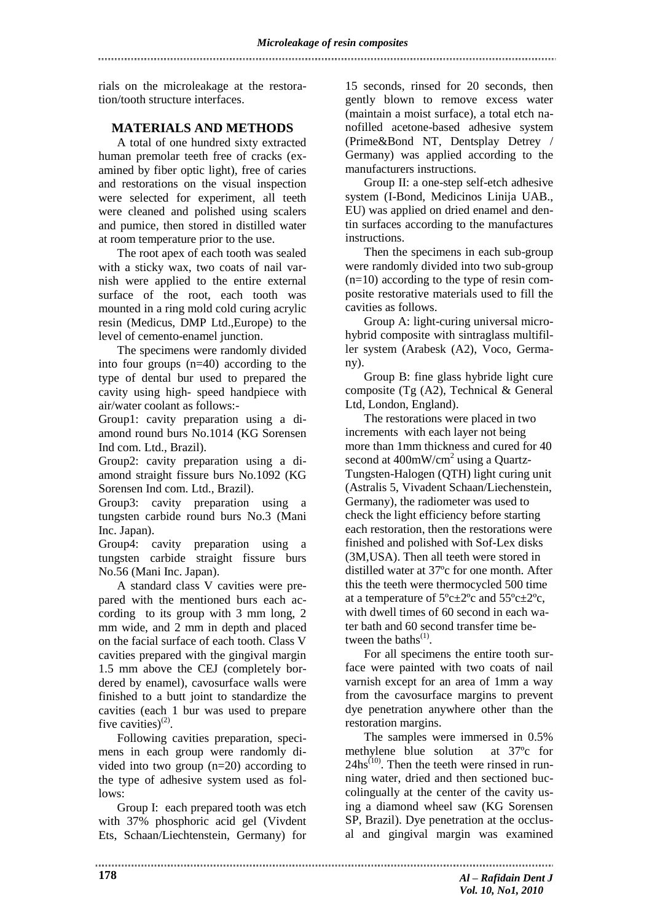rials on the microleakage at the restoration/tooth structure interfaces.

## **MATERIALS AND METHODS**

A total of one hundred sixty extracted human premolar teeth free of cracks (examined by fiber optic light), free of caries and restorations on the visual inspection were selected for experiment, all teeth were cleaned and polished using scalers and pumice, then stored in distilled water at room temperature prior to the use.

The root apex of each tooth was sealed with a sticky wax, two coats of nail varnish were applied to the entire external surface of the root, each tooth was mounted in a ring mold cold curing acrylic resin (Medicus, DMP Ltd.,Europe) to the level of cemento-enamel junction.

The specimens were randomly divided into four groups (n=40) according to the type of dental bur used to prepared the cavity using high- speed handpiece with air/water coolant as follows:-

Group1: cavity preparation using a diamond round burs No.1014 (KG Sorensen Ind com. Ltd., Brazil).

Group2: cavity preparation using a diamond straight fissure burs No.1092 (KG Sorensen Ind com. Ltd., Brazil).

Group3: cavity preparation using a tungsten carbide round burs No.3 (Mani Inc. Japan).

Group4: cavity preparation using a tungsten carbide straight fissure burs No.56 (Mani Inc. Japan).

A standard class V cavities were prepared with the mentioned burs each according to its group with 3 mm long, 2 mm wide, and 2 mm in depth and placed on the facial surface of each tooth. Class V cavities prepared with the gingival margin 1.5 mm above the CEJ (completely bordered by enamel), cavosurface walls were finished to a butt joint to standardize the cavities (each 1 bur was used to prepare five cavities) $^{(2)}$ .

Following cavities preparation, specimens in each group were randomly divided into two group (n=20) according to the type of adhesive system used as follows:

Group I: each prepared tooth was etch with 37% phosphoric acid gel (Vivdent Ets, Schaan/Liechtenstein, Germany) for

15 seconds, rinsed for 20 seconds, then gently blown to remove excess water (maintain a moist surface), a total etch nanofilled acetone-based adhesive system (Prime&Bond NT, Dentsplay Detrey / Germany) was applied according to the manufacturers instructions.

Group II: a one-step self-etch adhesive system (I-Bond, Medicinos Linija UAB., EU) was applied on dried enamel and dentin surfaces according to the manufactures instructions.

Then the specimens in each sub-group were randomly divided into two sub-group  $(n=10)$  according to the type of resin composite restorative materials used to fill the cavities as follows.

Group A: light-curing universal microhybrid composite with sintraglass multifiller system (Arabesk (A2), Voco, Germany).

Group B: fine glass hybride light cure composite (Tg (A2), Technical & General Ltd, London, England).

The restorations were placed in two increments with each layer not being more than 1mm thickness and cured for 40 second at 400mW/cm<sup>2</sup> using a Quartz-Tungsten-Halogen (QTH) light curing unit (Astralis 5, Vivadent Schaan/Liechenstein, Germany), the radiometer was used to check the light efficiency before starting each restoration, then the restorations were finished and polished with Sof-Lex disks (3M,USA). Then all teeth were stored in distilled water at 37ºc for one month. After this the teeth were thermocycled 500 time at a temperature of  $5^{\circ}$ c $\pm$ 2°c and  $55^{\circ}$ c $\pm$ 2°c, with dwell times of 60 second in each water bath and 60 second transfer time between the baths $^{(1)}$ .

For all specimens the entire tooth surface were painted with two coats of nail varnish except for an area of 1mm a way from the cavosurface margins to prevent dye penetration anywhere other than the restoration margins.

The samples were immersed in 0.5% methylene blue solution at 37ºc for  $24hs^{(10)}$ . Then the teeth were rinsed in running water, dried and then sectioned buccolingually at the center of the cavity using a diamond wheel saw (KG Sorensen SP, Brazil). Dye penetration at the occlusal and gingival margin was examined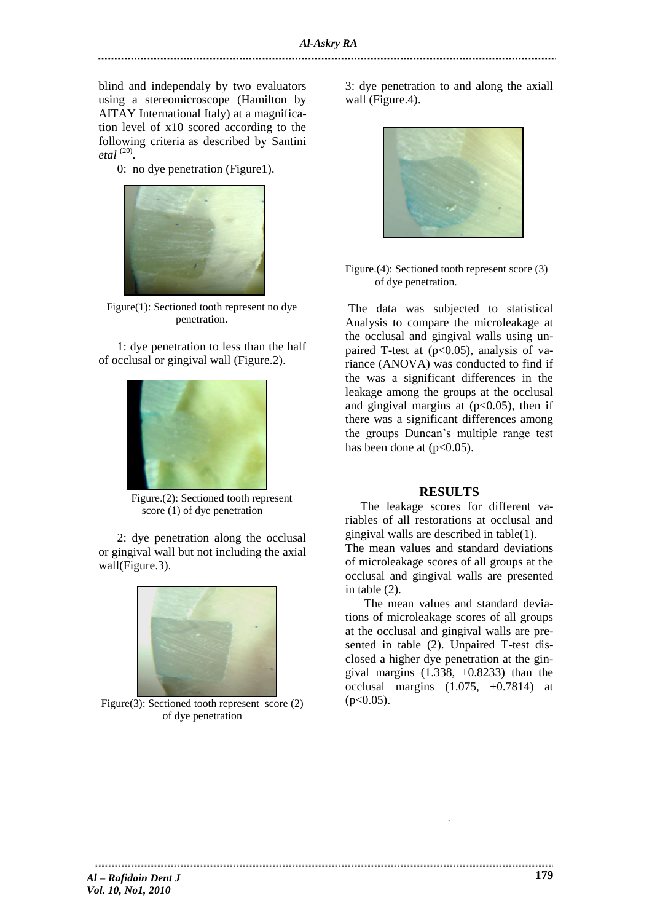blind and independaly by two evaluators using a stereomicroscope (Hamilton by AITAY International Italy) at a magnification level of x10 scored according to the following criteria as described by Santini *etal* (20) .

0: no dye penetration (Figure1).



Figure(1): Sectioned tooth represent no dye penetration.

1: dye penetration to less than the half of occlusal or gingival wall (Figure.2).



Figure.(2): Sectioned tooth represent score (1) of dye penetration

2: dye penetration along the occlusal or gingival wall but not including the axial wall(Figure.3).



Figure(3): Sectioned tooth represent score (2) of dye penetration

3: dye penetration to and along the axiall wall (Figure.4).



Figure.(4): Sectioned tooth represent score (3) of dye penetration.

The data was subjected to statistical Analysis to compare the microleakage at the occlusal and gingival walls using unpaired T-test at  $(p<0.05)$ , analysis of variance (ANOVA) was conducted to find if the was a significant differences in the leakage among the groups at the occlusal and gingival margins at  $(p<0.05)$ , then if there was a significant differences among the groups Duncan's multiple range test has been done at  $(p<0.05)$ .

## **RESULTS**

 The leakage scores for different variables of all restorations at occlusal and gingival walls are described in table(1).

The mean values and standard deviations of microleakage scores of all groups at the occlusal and gingival walls are presented in table (2).

The mean values and standard deviations of microleakage scores of all groups at the occlusal and gingival walls are presented in table (2). Unpaired T-test disclosed a higher dye penetration at the gingival margins  $(1.338, \pm 0.8233)$  than the occlusal margins  $(1.075, \pm 0.7814)$  at  $(p<0.05)$ .

.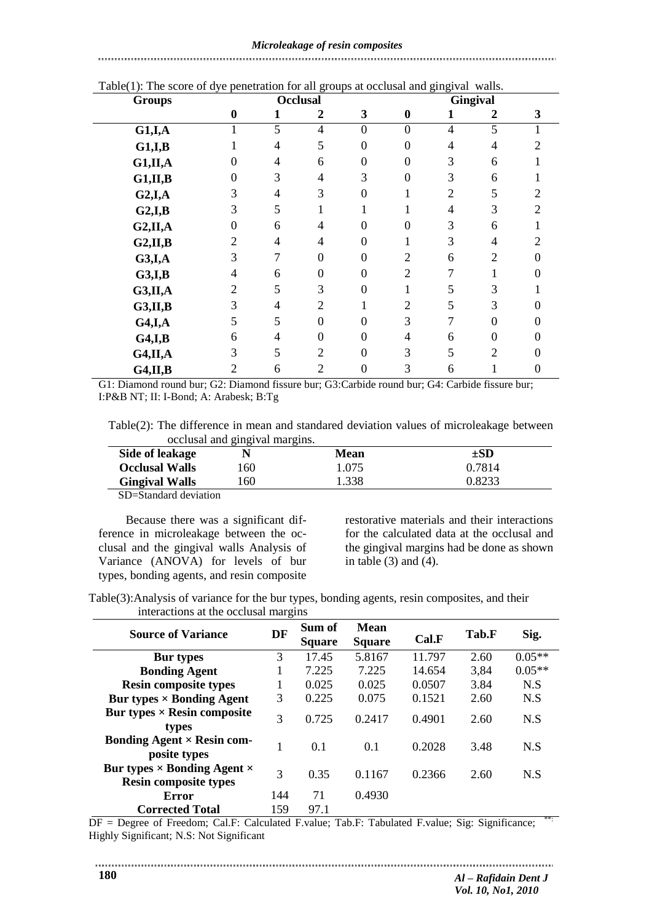## *Microleakage of resin composites*

# Table(1): The score of dye penetration for all groups at occlusal and gingival walls. **Groups Occlusal Gingival 0 1 2 3 0 1 2 3 G1,I,A** 1 5 4 0 0 4 5 1 **G1,I,B** 1 4 5 0 0 4 4 2 **G1,II,A** 0 4 6 0 0 3 6 1 **G1,II,B** 0 3 4 3 0 3 6 1 **G2,I,A** 3 4 3 0 1 2 5 2 **G2,I,B** 3 5 1 1 1 4 3 2 **G2,II,A** 0 6 4 0 0 3 6 1 **G2,II,B** 2 4 4 0 1 3 4 2 **G3,I,A** 3 7 0 0 2 6 2 0 **G3,I,B** 4 6 0 0 2 7 1 0 **G3,II,A** 2 5 3 0 1 5 3 1 **G3,II,B** 3 4 2 1 2 5 3 0 **G4,I,A** 5 5 0 0 3 7 0 0 **G4,I,B** 6 4 0 0 4 6 0 0 **G4,II,A** 3 5 2 0 3 5 2 0 **G4,II,B** 2 6 2 0 3 6 1 0

G1: Diamond round bur; G2: Diamond fissure bur; G3:Carbide round bur; G4: Carbide fissure bur; I:P&B NT; II: I-Bond; A: Arabesk; B:Tg

Table(2): The difference in mean and standared deviation values of microleakage between occlusal and gingival margins.

| Side of leakage                                  |     | Mean  | ±SD    |
|--------------------------------------------------|-----|-------|--------|
| <b>Occlusal Walls</b>                            | .60 | 1.075 | 0.7814 |
| <b>Gingival Walls</b>                            | 60  | 1.338 | 0.8233 |
| $\sim$ $\sim$ $\sim$ $\sim$ $\sim$ $\sim$ $\sim$ |     |       |        |

SD=Standard deviation

 Because there was a significant difference in microleakage between the occlusal and the gingival walls Analysis of Variance (ANOVA) for levels of bur types, bonding agents, and resin composite restorative materials and their interactions for the calculated data at the occlusal and the gingival margins had be done as shown in table  $(3)$  and  $(4)$ .

Table(3):Analysis of variance for the bur types, bonding agents, resin composites, and their interactions at the occlusal margins

| <b>Source of Variance</b>                                                 | DF  | Sum of<br><b>Square</b> | Mean<br><b>Square</b> | Cal.F  | Tab.F | Sig.     |
|---------------------------------------------------------------------------|-----|-------------------------|-----------------------|--------|-------|----------|
| <b>Bur types</b>                                                          | 3   | 17.45                   | 5.8167                | 11.797 | 2.60  | $0.05**$ |
| <b>Bonding Agent</b>                                                      |     | 7.225                   | 7.225                 | 14.654 | 3,84  | $0.05**$ |
| <b>Resin composite types</b>                                              |     | 0.025                   | 0.025                 | 0.0507 | 3.84  | N.S      |
| Bur types $\times$ Bonding Agent                                          | 3   | 0.225                   | 0.075                 | 0.1521 | 2.60  | N.S      |
| Bur types $\times$ Resin composite<br>types                               | 3   | 0.725                   | 0.2417                | 0.4901 | 2.60  | N.S      |
| Bonding Agent $\times$ Resin com-<br>posite types                         |     | 0.1                     | 0.1                   | 0.2028 | 3.48  | N.S      |
| Bur types $\times$ Bonding Agent $\times$<br><b>Resin composite types</b> | 3   | 0.35                    | 0.1167                | 0.2366 | 2.60  | N.S      |
| Error                                                                     | 144 | 71                      | 0.4930                |        |       |          |
| <b>Corrected Total</b>                                                    | 159 | 97.1                    |                       |        |       |          |

DF = Degree of Freedom; Cal.F: Calculated F.value; Tab.F: Tabulated F.value; Sig: Significance; \*\*: Highly Significant; N.S: Not Significant

-------------------------------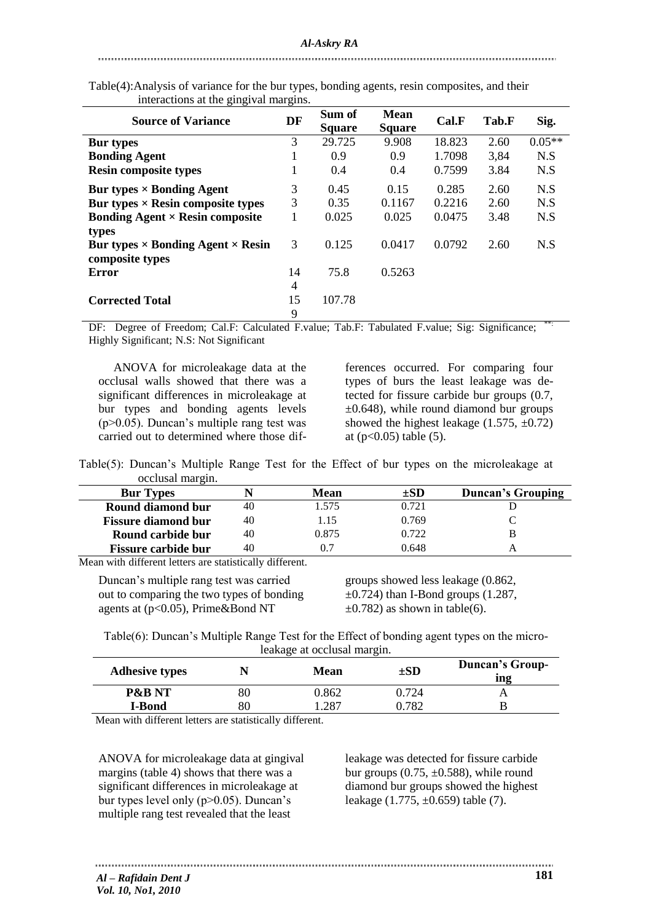| <b>Source of Variance</b>                                                   | DF                   | Sum of<br><b>Square</b> | <b>Mean</b><br><b>Square</b> | Cal.F  | Tab.F | Sig.     |
|-----------------------------------------------------------------------------|----------------------|-------------------------|------------------------------|--------|-------|----------|
| <b>Bur types</b>                                                            | 3                    | 29.725                  | 9.908                        | 18.823 | 2.60  | $0.05**$ |
| <b>Bonding Agent</b>                                                        | $\bf{I}$             | 0.9                     | 0.9                          | 1.7098 | 3,84  | N.S      |
| <b>Resin composite types</b>                                                | 1                    | 0.4                     | 0.4                          | 0.7599 | 3.84  | N.S      |
| Bur types $\times$ Bonding Agent                                            | 3                    | 0.45                    | 0.15                         | 0.285  | 2.60  | N.S      |
| Bur types $\times$ Resin composite types                                    | 3                    | 0.35                    | 0.1167                       | 0.2216 | 2.60  | N.S      |
| <b>Bonding Agent <math>\times</math> Resin composite</b>                    | 1                    | 0.025                   | 0.025                        | 0.0475 | 3.48  | N.S      |
| types<br>Bur types $\times$ Bonding Agent $\times$ Resin<br>composite types | 3                    | 0.125                   | 0.0417                       | 0.0792 | 2.60  | N.S      |
| Error                                                                       | 14<br>$\overline{4}$ | 75.8                    | 0.5263                       |        |       |          |
| <b>Corrected Total</b>                                                      | 15<br>9              | 107.78                  |                              |        |       |          |

Table(4):Analysis of variance for the bur types, bonding agents, resin composites, and their interactions at the gingival margins.

DF: Degree of Freedom; Cal.F: Calculated F.value; Tab.F: Tabulated F.value; Sig: Significance; Highly Significant; N.S: Not Significant

 ANOVA for microleakage data at the occlusal walls showed that there was a significant differences in microleakage at bur types and bonding agents levels (p>0.05). Duncan's multiple rang test was carried out to determined where those differences occurred. For comparing four types of burs the least leakage was detected for fissure carbide bur groups (0.7,  $\pm 0.648$ ), while round diamond bur groups showed the highest leakage  $(1.575, \pm 0.72)$ at  $(p<0.05)$  table  $(5)$ .

Table(5): Duncan's Multiple Range Test for the Effect of bur types on the microleakage at occlusal margin.

| <b>Bur Types</b>           |    | Mean  | $\pm SD$ | <b>Duncan's Grouping</b> |
|----------------------------|----|-------|----------|--------------------------|
| Round diamond bur          | 40 | .575  | 0.721    |                          |
| <b>Fissure diamond bur</b> | 40 | 1.15  | 0.769    |                          |
| Round carbide bur          | 40 | 0.875 | 0.722    |                          |
| <b>Fissure carbide bur</b> | 40 |       | 0.648    |                          |

Mean with different letters are statistically different.

Duncan's multiple rang test was carried out to comparing the two types of bonding agents at (p<0.05), Prime&Bond NT

groups showed less leakage (0.862,  $\pm$ 0.724) than I-Bond groups (1.287,  $\pm$ 0.782) as shown in table(6).

Table(6): Duncan's Multiple Range Test for the Effect of bonding agent types on the microleakage at occlusal margin.

| <b>Adhesive types</b> |                                              | <b>Mean</b> | $\pm SD$ | <b>Duncan's Group-</b><br>ing |
|-----------------------|----------------------------------------------|-------------|----------|-------------------------------|
| <b>P&amp;B NT</b>     | 80                                           | 0.862       | 0.724    |                               |
| <b>I-Bond</b>         | 80                                           | l.287       | ).782    |                               |
| $\cdots$<br>$\sim$    | $\cdots$ $\cdots$ $\cdots$ $\cdots$ $\cdots$ |             |          |                               |

Mean with different letters are statistically different.

ANOVA for microleakage data at gingival margins (table 4) shows that there was a significant differences in microleakage at bur types level only (p>0.05). Duncan's multiple rang test revealed that the least

leakage was detected for fissure carbide bur groups  $(0.75, \pm 0.588)$ , while round diamond bur groups showed the highest leakage  $(1.775, \pm 0.659)$  table  $(7)$ .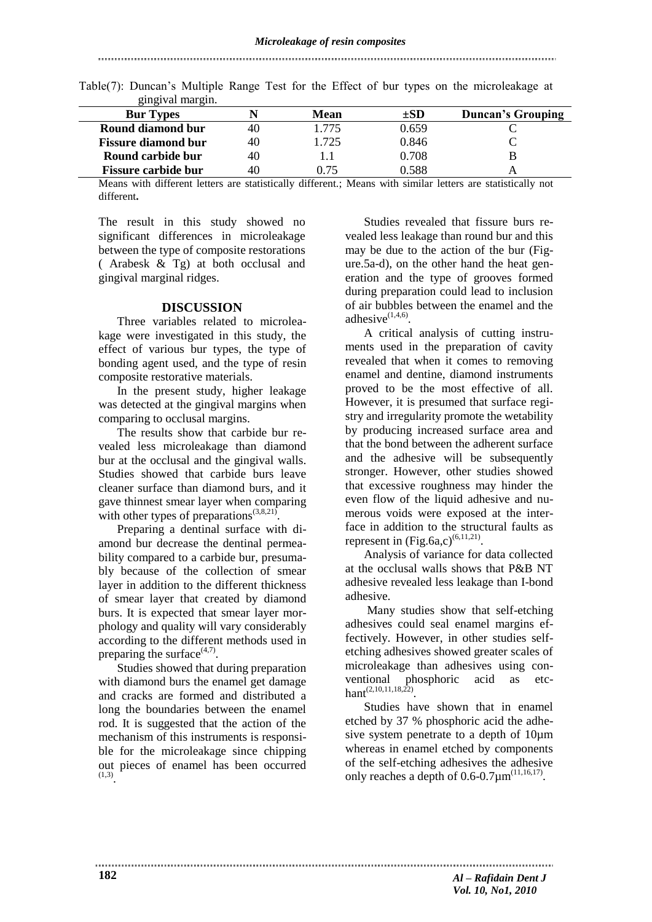#### 

| gingiyat margim.           |    |      |          |                          |
|----------------------------|----|------|----------|--------------------------|
| <b>Bur Types</b>           |    | Mean | $\pm SD$ | <b>Duncan's Grouping</b> |
| Round diamond bur          | 40 | .775 | 0.659    |                          |
| <b>Fissure diamond bur</b> | 40 | .725 | 0.846    |                          |
| Round carbide bur          | 40 |      | 0.708    |                          |
| <b>Fissure carbide bur</b> | 40 | በ 75 | 0.588    |                          |

| Table(7): Duncan's Multiple Range Test for the Effect of bur types on the microleakage at |  |  |  |  |  |  |
|-------------------------------------------------------------------------------------------|--|--|--|--|--|--|
| gingival margin.                                                                          |  |  |  |  |  |  |

Means with different letters are statistically different.; Means with similar letters are statistically not different**.**

The result in this study showed no significant differences in microleakage between the type of composite restorations ( Arabesk & Tg) at both occlusal and gingival marginal ridges.

## **DISCUSSION**

Three variables related to microleakage were investigated in this study, the effect of various bur types, the type of bonding agent used, and the type of resin composite restorative materials.

In the present study, higher leakage was detected at the gingival margins when comparing to occlusal margins.

The results show that carbide bur revealed less microleakage than diamond bur at the occlusal and the gingival walls. Studies showed that carbide burs leave cleaner surface than diamond burs, and it gave thinnest smear layer when comparing with other types of preparations $(3,8,21)$ .

Preparing a dentinal surface with diamond bur decrease the dentinal permeability compared to a carbide bur, presumably because of the collection of smear layer in addition to the different thickness of smear layer that created by diamond burs. It is expected that smear layer morphology and quality will vary considerably according to the different methods used in preparing the surface $(4,7)$ .

Studies showed that during preparation with diamond burs the enamel get damage and cracks are formed and distributed a long the boundaries between the enamel rod. It is suggested that the action of the mechanism of this instruments is responsible for the microleakage since chipping out pieces of enamel has been occurred  $\sum_{0}^{(1,3)}$ 

Studies revealed that fissure burs revealed less leakage than round bur and this may be due to the action of the bur (Figure.5a-d), on the other hand the heat generation and the type of grooves formed during preparation could lead to inclusion of air bubbles between the enamel and the adhesive $(1,4,6)$ .

A critical analysis of cutting instruments used in the preparation of cavity revealed that when it comes to removing enamel and dentine, diamond instruments proved to be the most effective of all. However, it is presumed that surface registry and irregularity promote the wetability by producing increased surface area and that the bond between the adherent surface and the adhesive will be subsequently stronger. However, other studies showed that excessive roughness may hinder the even flow of the liquid adhesive and numerous voids were exposed at the interface in addition to the structural faults as represent in  $(Fig.6a,c)^{(6,11,21)}$ .

Analysis of variance for data collected at the occlusal walls shows that P&B NT adhesive revealed less leakage than I-bond adhesive.

Many studies show that self-etching adhesives could seal enamel margins effectively. However, in other studies selfetching adhesives showed greater scales of microleakage than adhesives using conventional phosphoric acid as etc $hant^{(2,10,11,18,\bar{22})}.$ 

Studies have shown that in enamel etched by 37 % phosphoric acid the adhesive system penetrate to a depth of 10µm whereas in enamel etched by components of the self-etching adhesives the adhesive only reaches a depth of  $0.6 - 0.7 \mu m^{(11,16,17)}$ .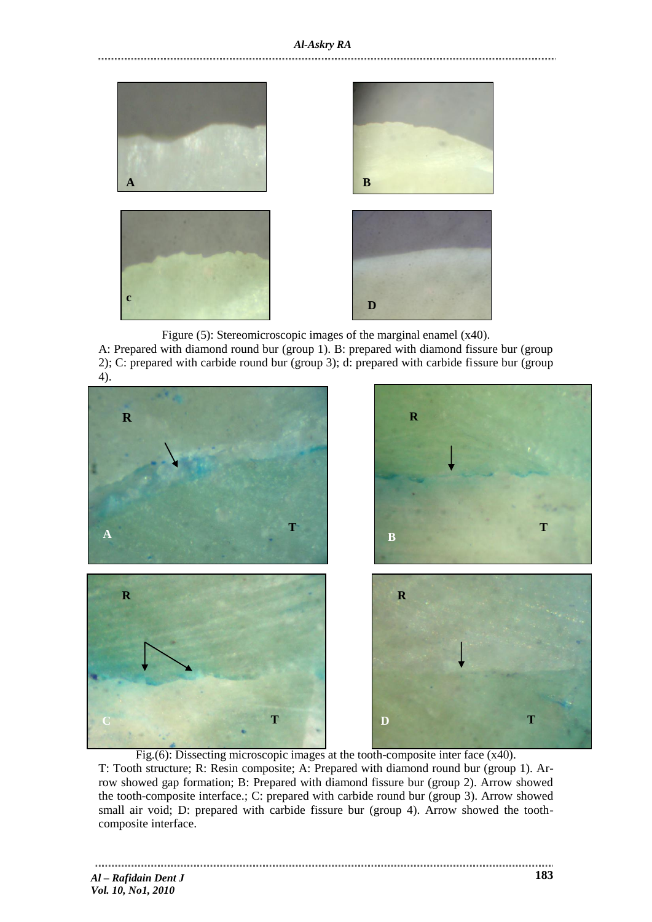

Figure (5): Stereomicroscopic images of the marginal enamel (x40).

A: Prepared with diamond round bur (group 1). B: prepared with diamond fissure bur (group 2); C: prepared with carbide round bur (group 3); d: prepared with carbide fissure bur (group 4).



Fig.(6): Dissecting microscopic images at the tooth-composite inter face  $(x40)$ . T: Tooth structure; R: Resin composite; A: Prepared with diamond round bur (group 1). Arrow showed gap formation; B: Prepared with diamond fissure bur (group 2). Arrow showed the tooth-composite interface.; C: prepared with carbide round bur (group 3). Arrow showed small air void; D: prepared with carbide fissure bur (group 4). Arrow showed the toothcomposite interface.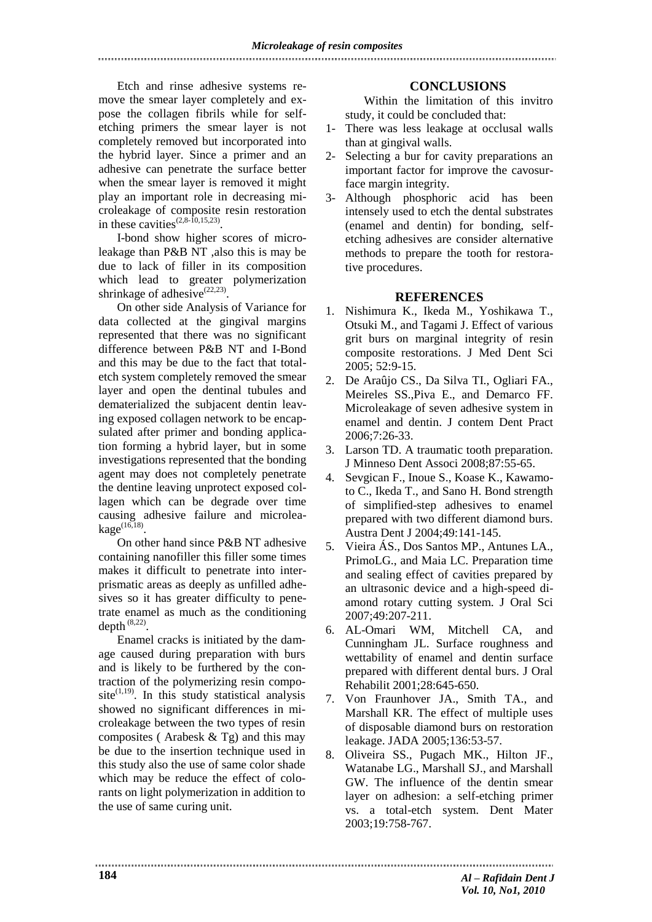Etch and rinse adhesive systems remove the smear layer completely and expose the collagen fibrils while for selfetching primers the smear layer is not completely removed but incorporated into the hybrid layer. Since a primer and an adhesive can penetrate the surface better when the smear layer is removed it might play an important role in decreasing microleakage of composite resin restoration in these cavities<sup> $(2,8-\overline{10},15,23)$ </sup>.

I-bond show higher scores of microleakage than P&B NT ,also this is may be due to lack of filler in its composition which lead to greater polymerization shrinkage of adhesive $^{(22,23)}$ .

On other side Analysis of Variance for data collected at the gingival margins represented that there was no significant difference between P&B NT and I-Bond and this may be due to the fact that totaletch system completely removed the smear layer and open the dentinal tubules and dematerialized the subjacent dentin leaving exposed collagen network to be encapsulated after primer and bonding application forming a hybrid layer, but in some investigations represented that the bonding agent may does not completely penetrate the dentine leaving unprotect exposed collagen which can be degrade over time causing adhesive failure and microleakage $^{(16,18)}$ .

On other hand since P&B NT adhesive containing nanofiller this filler some times makes it difficult to penetrate into interprismatic areas as deeply as unfilled adhesives so it has greater difficulty to penetrate enamel as much as the conditioning depth  $^{(8,22)}$ .

Enamel cracks is initiated by the damage caused during preparation with burs and is likely to be furthered by the contraction of the polymerizing resin composite $^{(1,19)}$ . In this study statistical analysis showed no significant differences in microleakage between the two types of resin composites (Arabesk  $&$  Tg) and this may be due to the insertion technique used in this study also the use of same color shade which may be reduce the effect of colorants on light polymerization in addition to the use of same curing unit.

# **CONCLUSIONS**

Within the limitation of this invitro study, it could be concluded that:

- 1- There was less leakage at occlusal walls than at gingival walls.
- 2- Selecting a bur for cavity preparations an important factor for improve the cavosurface margin integrity.
- 3- Although phosphoric acid has been intensely used to etch the dental substrates (enamel and dentin) for bonding, selfetching adhesives are consider alternative methods to prepare the tooth for restorative procedures.

## **REFERENCES**

- 1. Nishimura K., Ikeda M., Yoshikawa T., Otsuki M., and Tagami J. Effect of various grit burs on marginal integrity of resin composite restorations. J Med Dent Sci 2005; 52:9-15.
- 2. De Araûjo CS., Da Silva TI., Ogliari FA., Meireles SS.,Piva E., and Demarco FF. Microleakage of seven adhesive system in enamel and dentin. J contem Dent Pract 2006;7:26-33.
- 3. Larson TD. A traumatic tooth preparation. J Minneso Dent Associ 2008;87:55-65.
- 4. Sevgican F., Inoue S., Koase K., Kawamoto C., Ikeda T., and Sano H. Bond strength of simplified-step adhesives to enamel prepared with two different diamond burs. Austra Dent J 2004;49:141-145.
- 5. Vieira ÁS., Dos Santos MP., Antunes LA., PrimoLG., and Maia LC. Preparation time and sealing effect of cavities prepared by an ultrasonic device and a high-speed diamond rotary cutting system. J Oral Sci 2007;49:207-211.
- 6. AL-Omari WM, Mitchell CA, and Cunningham JL. Surface roughness and wettability of enamel and dentin surface prepared with different dental burs. J Oral Rehabilit 2001;28:645-650.
- 7. Von Fraunhover JA., Smith TA., and Marshall KR. The effect of multiple uses of disposable diamond burs on restoration leakage. JADA 2005;136:53-57.
- 8. Oliveira SS., Pugach MK., Hilton JF., Watanabe LG., Marshall SJ., and Marshall GW. The influence of the dentin smear layer on adhesion: a self-etching primer vs. a total-etch system. Dent Mater 2003;19:758-767.